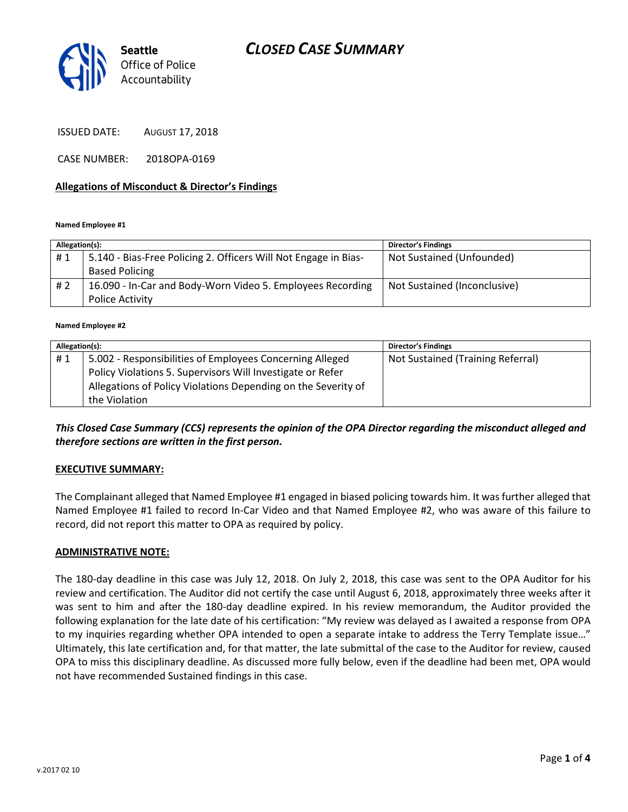# CLOSED CASE SUMMARY



ISSUED DATE: AUGUST 17, 2018

CASE NUMBER: 2018OPA-0169

#### Allegations of Misconduct & Director's Findings

#### Named Employee #1

| Allegation(s): |                                                                 | <b>Director's Findings</b>   |
|----------------|-----------------------------------------------------------------|------------------------------|
| #1             | 5.140 - Bias-Free Policing 2. Officers Will Not Engage in Bias- | Not Sustained (Unfounded)    |
|                | <b>Based Policing</b>                                           |                              |
| #2             | 16.090 - In-Car and Body-Worn Video 5. Employees Recording      | Not Sustained (Inconclusive) |
|                | Police Activity                                                 |                              |

#### Named Employee #2

| Allegation(s): |                                                               | <b>Director's Findings</b>        |
|----------------|---------------------------------------------------------------|-----------------------------------|
| #1             | 5.002 - Responsibilities of Employees Concerning Alleged      | Not Sustained (Training Referral) |
|                | Policy Violations 5. Supervisors Will Investigate or Refer    |                                   |
|                | Allegations of Policy Violations Depending on the Severity of |                                   |
|                | the Violation                                                 |                                   |

#### This Closed Case Summary (CCS) represents the opinion of the OPA Director regarding the misconduct alleged and therefore sections are written in the first person.

#### EXECUTIVE SUMMARY:

The Complainant alleged that Named Employee #1 engaged in biased policing towards him. It was further alleged that Named Employee #1 failed to record In-Car Video and that Named Employee #2, who was aware of this failure to record, did not report this matter to OPA as required by policy.

#### ADMINISTRATIVE NOTE:

The 180-day deadline in this case was July 12, 2018. On July 2, 2018, this case was sent to the OPA Auditor for his review and certification. The Auditor did not certify the case until August 6, 2018, approximately three weeks after it was sent to him and after the 180-day deadline expired. In his review memorandum, the Auditor provided the following explanation for the late date of his certification: "My review was delayed as I awaited a response from OPA to my inquiries regarding whether OPA intended to open a separate intake to address the Terry Template issue…" Ultimately, this late certification and, for that matter, the late submittal of the case to the Auditor for review, caused OPA to miss this disciplinary deadline. As discussed more fully below, even if the deadline had been met, OPA would not have recommended Sustained findings in this case.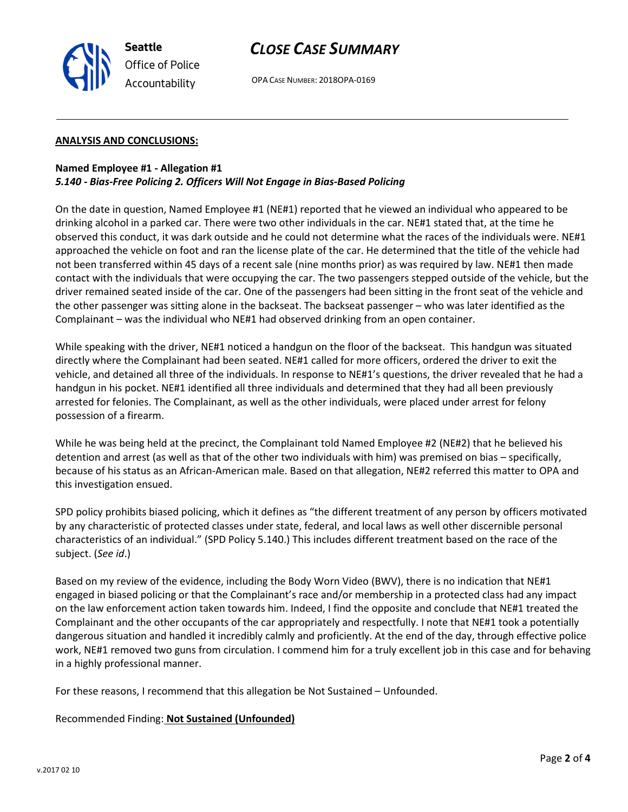

# CLOSE CASE SUMMARY

OPA CASE NUMBER: 2018OPA-0169

#### ANALYSIS AND CONCLUSIONS:

### Named Employee #1 - Allegation #1 5.140 - Bias-Free Policing 2. Officers Will Not Engage in Bias-Based Policing

On the date in question, Named Employee #1 (NE#1) reported that he viewed an individual who appeared to be drinking alcohol in a parked car. There were two other individuals in the car. NE#1 stated that, at the time he observed this conduct, it was dark outside and he could not determine what the races of the individuals were. NE#1 approached the vehicle on foot and ran the license plate of the car. He determined that the title of the vehicle had not been transferred within 45 days of a recent sale (nine months prior) as was required by law. NE#1 then made contact with the individuals that were occupying the car. The two passengers stepped outside of the vehicle, but the driver remained seated inside of the car. One of the passengers had been sitting in the front seat of the vehicle and the other passenger was sitting alone in the backseat. The backseat passenger – who was later identified as the Complainant – was the individual who NE#1 had observed drinking from an open container.

While speaking with the driver, NE#1 noticed a handgun on the floor of the backseat. This handgun was situated directly where the Complainant had been seated. NE#1 called for more officers, ordered the driver to exit the vehicle, and detained all three of the individuals. In response to NE#1's questions, the driver revealed that he had a handgun in his pocket. NE#1 identified all three individuals and determined that they had all been previously arrested for felonies. The Complainant, as well as the other individuals, were placed under arrest for felony possession of a firearm.

While he was being held at the precinct, the Complainant told Named Employee #2 (NE#2) that he believed his detention and arrest (as well as that of the other two individuals with him) was premised on bias – specifically, because of his status as an African-American male. Based on that allegation, NE#2 referred this matter to OPA and this investigation ensued.

SPD policy prohibits biased policing, which it defines as "the different treatment of any person by officers motivated by any characteristic of protected classes under state, federal, and local laws as well other discernible personal characteristics of an individual." (SPD Policy 5.140.) This includes different treatment based on the race of the subject. (See id.)

Based on my review of the evidence, including the Body Worn Video (BWV), there is no indication that NE#1 engaged in biased policing or that the Complainant's race and/or membership in a protected class had any impact on the law enforcement action taken towards him. Indeed, I find the opposite and conclude that NE#1 treated the Complainant and the other occupants of the car appropriately and respectfully. I note that NE#1 took a potentially dangerous situation and handled it incredibly calmly and proficiently. At the end of the day, through effective police work, NE#1 removed two guns from circulation. I commend him for a truly excellent job in this case and for behaving in a highly professional manner.

For these reasons, I recommend that this allegation be Not Sustained – Unfounded.

## Recommended Finding: Not Sustained (Unfounded)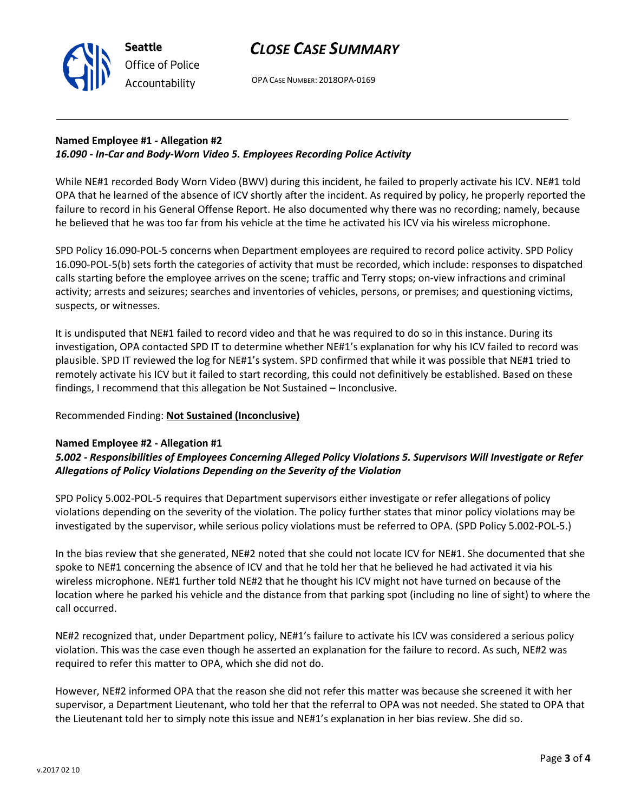# CLOSE CASE SUMMARY

OPA CASE NUMBER: 2018OPA-0169

## Named Employee #1 - Allegation #2 16.090 - In-Car and Body-Worn Video 5. Employees Recording Police Activity

While NE#1 recorded Body Worn Video (BWV) during this incident, he failed to properly activate his ICV. NE#1 told OPA that he learned of the absence of ICV shortly after the incident. As required by policy, he properly reported the failure to record in his General Offense Report. He also documented why there was no recording; namely, because he believed that he was too far from his vehicle at the time he activated his ICV via his wireless microphone.

SPD Policy 16.090-POL-5 concerns when Department employees are required to record police activity. SPD Policy 16.090-POL-5(b) sets forth the categories of activity that must be recorded, which include: responses to dispatched calls starting before the employee arrives on the scene; traffic and Terry stops; on-view infractions and criminal activity; arrests and seizures; searches and inventories of vehicles, persons, or premises; and questioning victims, suspects, or witnesses.

It is undisputed that NE#1 failed to record video and that he was required to do so in this instance. During its investigation, OPA contacted SPD IT to determine whether NE#1's explanation for why his ICV failed to record was plausible. SPD IT reviewed the log for NE#1's system. SPD confirmed that while it was possible that NE#1 tried to remotely activate his ICV but it failed to start recording, this could not definitively be established. Based on these findings, I recommend that this allegation be Not Sustained – Inconclusive.

## Recommended Finding: Not Sustained (Inconclusive)

## Named Employee #2 - Allegation #1

## 5.002 - Responsibilities of Employees Concerning Alleged Policy Violations 5. Supervisors Will Investigate or Refer Allegations of Policy Violations Depending on the Severity of the Violation

SPD Policy 5.002-POL-5 requires that Department supervisors either investigate or refer allegations of policy violations depending on the severity of the violation. The policy further states that minor policy violations may be investigated by the supervisor, while serious policy violations must be referred to OPA. (SPD Policy 5.002-POL-5.)

In the bias review that she generated, NE#2 noted that she could not locate ICV for NE#1. She documented that she spoke to NE#1 concerning the absence of ICV and that he told her that he believed he had activated it via his wireless microphone. NE#1 further told NE#2 that he thought his ICV might not have turned on because of the location where he parked his vehicle and the distance from that parking spot (including no line of sight) to where the call occurred.

NE#2 recognized that, under Department policy, NE#1's failure to activate his ICV was considered a serious policy violation. This was the case even though he asserted an explanation for the failure to record. As such, NE#2 was required to refer this matter to OPA, which she did not do.

However, NE#2 informed OPA that the reason she did not refer this matter was because she screened it with her supervisor, a Department Lieutenant, who told her that the referral to OPA was not needed. She stated to OPA that the Lieutenant told her to simply note this issue and NE#1's explanation in her bias review. She did so.



Seattle Office of Police Accountability